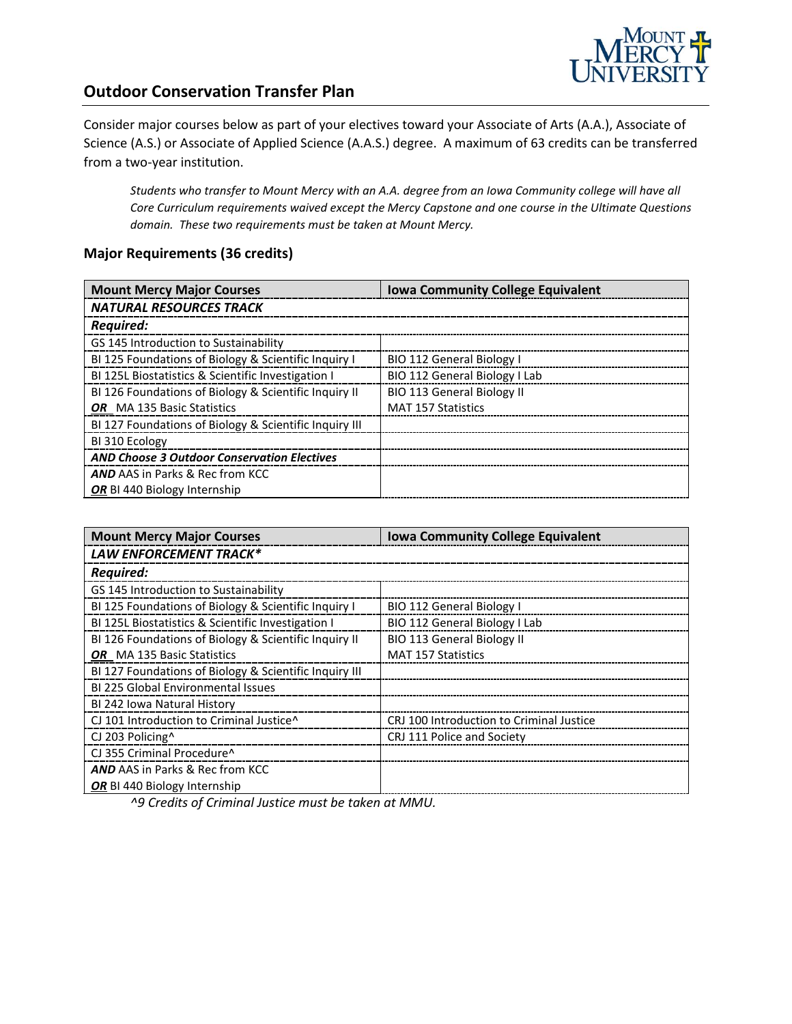

## **Outdoor Conservation Transfer Plan**

Consider major courses below as part of your electives toward your Associate of Arts (A.A.), Associate of Science (A.S.) or Associate of Applied Science (A.A.S.) degree. A maximum of 63 credits can be transferred from a two-year institution.

*Students who transfer to Mount Mercy with an A.A. degree from an Iowa Community college will have all Core Curriculum requirements waived except the Mercy Capstone and one course in the Ultimate Questions domain. These two requirements must be taken at Mount Mercy.* 

#### **Major Requirements (36 credits)**

| <b>Mount Mercy Major Courses</b>                       | <b>Iowa Community College Equivalent</b> |
|--------------------------------------------------------|------------------------------------------|
| <b>NATURAL RESOURCES TRACK</b>                         |                                          |
| <b>Required:</b>                                       |                                          |
| GS 145 Introduction to Sustainability                  |                                          |
| BI 125 Foundations of Biology & Scientific Inquiry I   | <b>BIO 112 General Biology I</b>         |
| BI 125L Biostatistics & Scientific Investigation I     | BIO 112 General Biology I Lab            |
| BI 126 Foundations of Biology & Scientific Inquiry II  | <b>BIO 113 General Biology II</b>        |
| <b>OR</b> MA 135 Basic Statistics                      | <b>MAT 157 Statistics</b>                |
| BI 127 Foundations of Biology & Scientific Inquiry III |                                          |
| BI 310 Ecology                                         |                                          |
| <b>AND Choose 3 Outdoor Conservation Electives</b>     |                                          |
| <b>AND AAS in Parks &amp; Rec from KCC</b>             |                                          |
| OR BI 440 Biology Internship                           |                                          |

| <b>Mount Mercy Major Courses</b>                       | <b>Iowa Community College Equivalent</b> |
|--------------------------------------------------------|------------------------------------------|
| LAW ENFORCEMENT TRACK*                                 |                                          |
| <b>Required:</b>                                       |                                          |
| GS 145 Introduction to Sustainability                  |                                          |
| BI 125 Foundations of Biology & Scientific Inquiry I   | <b>BIO 112 General Biology I</b>         |
| BI 125L Biostatistics & Scientific Investigation I     | BIO 112 General Biology I Lab            |
| BI 126 Foundations of Biology & Scientific Inquiry II  | <b>BIO 113 General Biology II</b>        |
| OR MA 135 Basic Statistics                             | <b>MAT 157 Statistics</b>                |
| BI 127 Foundations of Biology & Scientific Inquiry III |                                          |
| <b>BI 225 Global Environmental Issues</b>              |                                          |
| BI 242 Iowa Natural History                            |                                          |
| CJ 101 Introduction to Criminal Justice^               | CRJ 100 Introduction to Criminal Justice |
| CJ 203 Policing <sup>^</sup>                           | CRJ 111 Police and Society               |
| CJ 355 Criminal Procedure^                             |                                          |
| <b>AND AAS in Parks &amp; Rec from KCC</b>             |                                          |
| OR BI 440 Biology Internship                           |                                          |

*^9 Credits of Criminal Justice must be taken at MMU.*